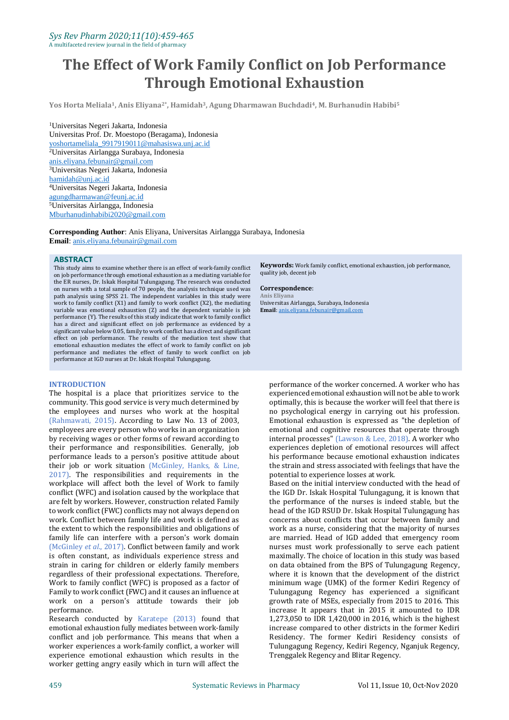# **The Effect of Work Family Conflict on Job Performance Through Emotional Exhaustion**

**Yos Horta Meliala1, Anis Eliyana2\* , Hamidah3, Agung Dharmawan Buchdadi4, M. Burhanudin Habibi<sup>5</sup>**

<sup>1</sup>Universitas Negeri Jakarta, Indonesia Universitas Prof. Dr. Moestopo (Beragama), Indonesia [yoshortameliala\\_9917919011@mahasiswa.unj.ac.id](mailto:yoshortameliala_9917919011@mahasiswa.unj.ac.id) <sup>2</sup>Universitas Airlangga Surabaya, Indonesia [anis.eliyana.febunair@gmail.com](mailto:anis.eliyana.febunair@gmail.com) <sup>3</sup>Universitas Negeri Jakarta, Indonesia [hamidah@unj.ac.id](mailto:hamidah@unj.ac.id) <sup>4</sup>Universitas Negeri Jakarta, Indonesia [agungdharmawan@feunj.ac.id](mailto:agungdharmawan@feunj.ac.id) <sup>5</sup>Universitas Airlangga, Indonesia [Mburhanudinhabibi2020@gmail.com](mailto:Mburhanudinhabibi2020@gmail.com)

**Corresponding Author**: Anis Eliyana, Universitas Airlangga Surabaya, Indonesia **Email**[: anis.eliyana.febunair@gmail.com](mailto:anis.eliyana.febunair@gmail.com)

#### **ABSTRACT**

This study aims to examine whether there is an effect of work-family conflict on job performance through emotional exhaustion as a mediating variable for the ER nurses, Dr. Iskak Hospital Tulungagung. The research was conducted on nurses with a total sample of 70 people, the analysis technique used was path analysis using SPSS 21. The independent variables in this study were work to family conflict (X1) and family to work conflict (X2), the mediating variable was emotional exhaustion  $(Z)$  and the dependent variable is job performance (Y). The results of this study indicate that work to family conflict has a direct and significant effect on job performance as evidenced by a significant value below 0.05, family to work conflict has a direct and significant effect on job performance. The results of the mediation test show that emotional exhaustion mediates the effect of work to family conflict on job performance and mediates the effect of family to work conflict on job performance at IGD nurses at Dr. Iskak Hospital Tulungagung.

#### **INTRODUCTION**

The hospital is a place that prioritizes service to the community. This good service is very much determined by the employees and nurses who work at the hospital (Rahmawati, 2015). According to Law No. 13 of 2003, employees are every person who works in an organization by receiving wages or other forms of reward according to their performance and responsibilities. Generally, job performance leads to a person's positive attitude about their job or work situation (McGinley, Hanks, & Line, 2017). The responsibilities and requirements in the workplace will affect both the level of Work to family conflict (WFC) and isolation caused by the workplace that are felt by workers. However, construction related Family to work conflict (FWC) conflicts may not always depend on work. Conflict between family life and work is defined as the extent to which the responsibilities and obligations of family life can interfere with a person's work domain (McGinley *et al*., 2017). Conflict between family and work is often constant, as individuals experience stress and strain in caring for children or elderly family members regardless of their professional expectations. Therefore, Work to family conflict (WFC) is proposed as a factor of Family to work conflict (FWC) and it causes an influence at work on a person's attitude towards their job performance.

Research conducted by Karatepe (2013) found that emotional exhaustion fully mediates between work-family conflict and job performance. This means that when a worker experiences a work-family conflict, a worker will experience emotional exhaustion which results in the worker getting angry easily which in turn will affect the

**Keywords:** Work family conflict, emotional exhaustion, job performance, quality job, decent job

#### **Correspondence**:

**Anis Eliyana** Universitas Airlangga, Surabaya, Indonesia **Email**[: anis.eliyana.febunair@gmail.com](mailto:anis.eliyana.febunair@gmail.com)

performance of the worker concerned. A worker who has experienced emotional exhaustion will not be able to work optimally, this is because the worker will feel that there is no psychological energy in carrying out his profession. Emotional exhaustion is expressed as "the depletion of emotional and cognitive resources that operate through internal processes" (Lawson & Lee, 2018). A worker who experiences depletion of emotional resources will affect his performance because emotional exhaustion indicates the strain and stress associated with feelings that have the potential to experience losses at work.

Based on the initial interview conducted with the head of the IGD Dr. Iskak Hospital Tulungagung, it is known that the performance of the nurses is indeed stable, but the head of the IGD RSUD Dr. Iskak Hospital Tulungagung has concerns about conflicts that occur between family and work as a nurse, considering that the majority of nurses are married. Head of IGD added that emergency room nurses must work professionally to serve each patient maximally. The choice of location in this study was based on data obtained from the BPS of Tulungagung Regency, where it is known that the development of the district minimum wage (UMK) of the former Kediri Regency of Tulungagung Regency has experienced a significant growth rate of MSEs, especially from 2015 to 2016. This increase It appears that in 2015 it amounted to IDR 1,273,050 to IDR 1,420,000 in 2016, which is the highest increase compared to other districts in the former Kediri Residency. The former Kediri Residency consists of Tulungagung Regency, Kediri Regency, Nganjuk Regency, Trenggalek Regency and Blitar Regency.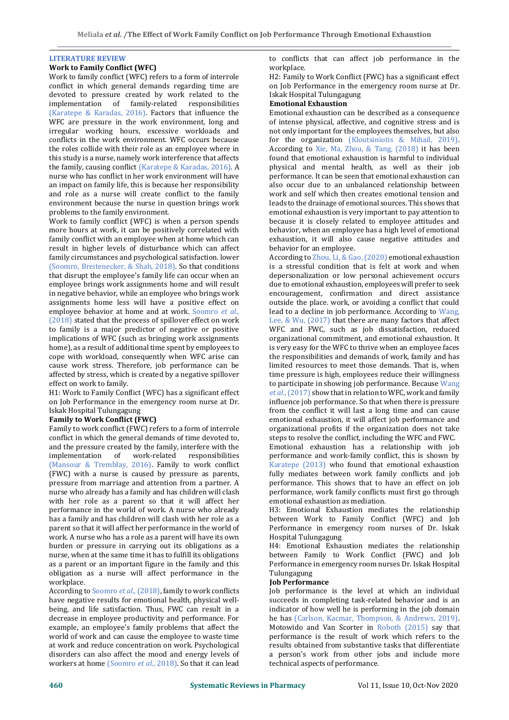# **LITERATURE REVIEW**

#### **Work to Family Conflict (WFC)**

Work to family conflict (WFC) refers to a form of interrole conflict in which general demands regarding time are devoted to pressure created by work related to the implementation of family-related responsibilities (Karatepe & Karadas, 2016). Factors that influence the WFC are pressure in the work environment, long and irregular working hours, excessive workloads and conflicts in the work environment. WFC occurs because the roles collide with their role as an employee where in this study is a nurse, namely work interference that affects the family, causing conflict (Karatepe & Karadas, 2016). A nurse who has conflict in her work environment will have an impact on family life, this is because her responsibility and role as a nurse will create conflict to the family environment because the nurse in question brings work problems to the family environment.

Work to family conflict (WFC) is when a person spends more hours at work, it can be positively correlated with family conflict with an employee when at home which can result in higher levels of disturbance which can affect family circumstances and psychological satisfaction. lower (Soomro, Breitenecker, & Shah, 2018). So that conditions that disrupt the employee's family life can occur when an employee brings work assignments home and will result in negative behavior, while an employee who brings work assignments home less will have a positive effect on employee behavior at home and at work. Soomro *et al*., (2018) stated that the process of spillover effect on work to family is a major predictor of negative or positive implications of WFC (such as bringing work assignments home), as a result of additional time spent by employees to cope with workload, consequently when WFC arise can cause work stress. Therefore, job performance can be affected by stress, which is created by a negative spillover effect on work to family.

H1: Work to Family Conflict (WFC) has a significant effect on Job Performance in the emergency room nurse at Dr. Iskak Hospital Tulungagung

# **Family to Work Conflict (FWC)**

Family to work conflict (FWC) refers to a form of interrole conflict in which the general demands of time devoted to, and the pressure created by the family, interfere with the implementation of work-related responsibilities (Mansour & Tremblay, 2016). Family to work conflict (FWC) with a nurse is caused by pressure as parents, pressure from marriage and attention from a partner. A nurse who already has a family and has children will clash with her role as a parent so that it will affect her performance in the world of work. A nurse who already has a family and has children will clash with her role as a parent so that it will affect her performance in the world of work. A nurse who has a role as a parent will have its own burden or pressure in carrying out its obligations as a nurse, when at the same time it has to fulfill its obligations as a parent or an important figure in the family and this obligation as a nurse will affect performance in the workplace.

According to Soomro *et al*., (2018), family to work conflicts have negative results for emotional health, physical wellbeing, and life satisfaction. Thus, FWC can result in a decrease in employee productivity and performance. For example, an employee's family problems that affect the world of work and can cause the employee to waste time at work and reduce concentration on work. Psychological disorders can also affect the mood and energy levels of workers at home (Soomro *et al*., 2018). So that it can lead to conflicts that can affect job performance in the workplace.

H2: Family to Work Conflict (FWC) has a significant effect on Job Performance in the emergency room nurse at Dr. Iskak Hospital Tulungagung

#### **Emotional Exhaustion**

Emotional exhaustion can be described as a consequence of intense physical, affective, and cognitive stress and is not only important for the employees themselves, but also for the organization (Kloutsiniotis & Mihail, 2019). According to Xie, Ma, Zhou, & Tang, (2018) it has been found that emotional exhaustion is harmful to individual physical and mental health, as well as their job performance. It can be seen that emotional exhaustion can also occur due to an unbalanced relationship between work and self which then creates emotional tension and leads to the drainage of emotional sources. This shows that emotional exhaustion is very important to pay attention to because it is closely related to employee attitudes and behavior, when an employee has a high level of emotional exhaustion, it will also cause negative attitudes and behavior for an employee.

According to Zhou, Li, & Gao, (2020) emotional exhaustion is a stressful condition that is felt at work and when depersonalization or low personal achievement occurs due to emotional exhaustion, employees will prefer to seek encouragement, confirmation and direct assistance outside the place. work, or avoiding a conflict that could lead to a decline in job performance. According to Wang, Lee, & Wu, (2017) that there are many factors that affect WFC and FWC, such as job dissatisfaction, reduced organizational commitment, and emotional exhaustion. It is very easy for the WFC to thrive when an employee faces the responsibilities and demands of work, family and has limited resources to meet those demands. That is, when time pressure is high, employees reduce their willingness to participate in showing job performance. Because Wang *et al*., (2017) show that in relation to WFC, work and family influence job performance. So that when there is pressure from the conflict it will last a long time and can cause emotional exhaustion, it will affect job performance and organizational profits if the organization does not take steps to resolve the conflict, including the WFC and FWC.

Emotional exhaustion has a relationship with job performance and work-family conflict, this is shown by Karatepe (2013) who found that emotional exhaustion fully mediates between work family conflicts and job performance. This shows that to have an effect on job performance, work family conflicts must first go through emotional exhaustion as mediation.

H3: Emotional Exhaustion mediates the relationship between Work to Family Conflict (WFC) and Job Performance in emergency room nurses of Dr. Iskak Hospital Tulungagung

H4: Emotional Exhaustion mediates the relationship between Family to Work Conflict (FWC) and Job Performance in emergency room nurses Dr. Iskak Hospital Tulungagung

#### **Job Performance**

Job performance is the level at which an individual succeeds in completing task-related behavior and is an indicator of how well he is performing in the job domain he has (Carlson, Kacmar, Thompson, & Andrews, 2019). Motowido and Van Scorter in Roboth (2015) say that performance is the result of work which refers to the results obtained from substantive tasks that differentiate a person's work from other jobs and include more technical aspects of performance.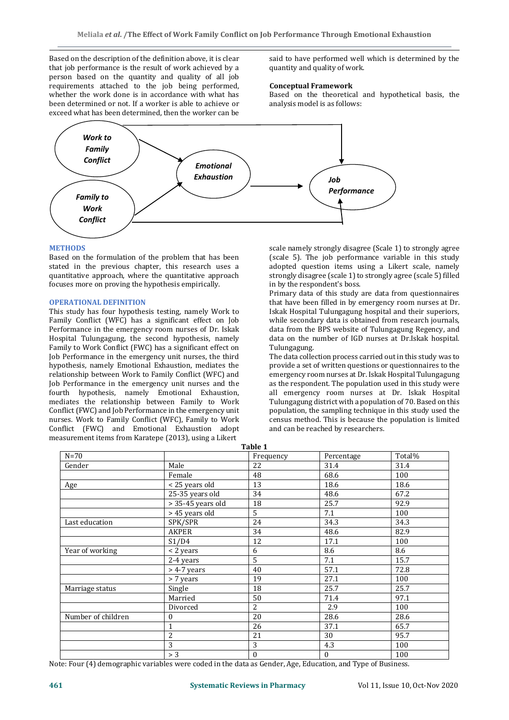Based on the description of the definition above, it is clear that job performance is the result of work achieved by a person based on the quantity and quality of all job requirements attached to the job being performed, whether the work done is in accordance with what has been determined or not. If a worker is able to achieve or exceed what has been determined, then the worker can be

said to have performed well which is determined by the quantity and quality of work.

#### **Conceptual Framework**

Based on the theoretical and hypothetical basis, the analysis model is as follows:



#### **METHODS**

Based on the formulation of the problem that has been stated in the previous chapter, this research uses a quantitative approach, where the quantitative approach focuses more on proving the hypothesis empirically.

#### **OPERATIONAL DEFINITION**

This study has four hypothesis testing, namely Work to Family Conflict (WFC) has a significant effect on Job Performance in the emergency room nurses of Dr. Iskak Hospital Tulungagung, the second hypothesis, namely Family to Work Conflict (FWC) has a significant effect on Job Performance in the emergency unit nurses, the third hypothesis, namely Emotional Exhaustion, mediates the relationship between Work to Family Conflict (WFC) and Job Performance in the emergency unit nurses and the fourth hypothesis, namely Emotional Exhaustion, mediates the relationship between Family to Work Conflict (FWC) and Job Performance in the emergency unit nurses. Work to Family Conflict (WFC), Family to Work Conflict (FWC) and Emotional Exhaustion adopt measurement items from Karatepe (2013), using a Likert

scale namely strongly disagree (Scale 1) to strongly agree (scale 5). The job performance variable in this study adopted question items using a Likert scale, namely strongly disagree (scale 1) to strongly agree (scale 5) filled in by the respondent's boss.

Primary data of this study are data from questionnaires that have been filled in by emergency room nurses at Dr. Iskak Hospital Tulungagung hospital and their superiors, while secondary data is obtained from research journals, data from the BPS website of Tulungagung Regency, and data on the number of IGD nurses at Dr.Iskak hospital. Tulungagung.

The data collection process carried out in this study was to provide a set of written questions or questionnaires to the emergency room nurses at Dr. Iskak Hospital Tulungagung as the respondent. The population used in this study were all emergency room nurses at Dr. Iskak Hospital Tulungagung district with a population of 70. Based on this population, the sampling technique in this study used the census method. This is because the population is limited and can be reached by researchers.

| Table 1            |                   |              |              |        |  |  |  |
|--------------------|-------------------|--------------|--------------|--------|--|--|--|
| $N=70$             |                   | Frequency    | Percentage   | Total% |  |  |  |
| Gender             | Male              | 22           | 31.4         | 31.4   |  |  |  |
|                    | Female            | 48           | 68.6         | 100    |  |  |  |
| Age                | < 25 years old    | 13           | 18.6         | 18.6   |  |  |  |
|                    | 25-35 years old   | 34           | 48.6         | 67.2   |  |  |  |
|                    | > 35-45 years old | 18           | 25.7         | 92.9   |  |  |  |
|                    | > 45 years old    | 5            | 7.1          | 100    |  |  |  |
| Last education     | SPK/SPR           | 24           | 34.3         | 34.3   |  |  |  |
|                    | AKPER             | 34           | 48.6         | 82.9   |  |  |  |
|                    | S1/D4             | 12           | 17.1         | 100    |  |  |  |
| Year of working    | < 2 years         | 6            | 8.6          | 8.6    |  |  |  |
|                    | 2-4 years         | 5            | 7.1          | 15.7   |  |  |  |
|                    | $>$ 4-7 years     | 40           | 57.1         | 72.8   |  |  |  |
|                    | > 7 years         | 19           | 27.1         | 100    |  |  |  |
| Marriage status    | Single            | 18           | 25.7         | 25.7   |  |  |  |
|                    | Married           | 50           | 71.4         | 97.1   |  |  |  |
|                    | Divorced          | 2            | 2.9          | 100    |  |  |  |
| Number of children | $\boldsymbol{0}$  | 20           | 28.6         | 28.6   |  |  |  |
|                    | $\mathbf{1}$      | 26           | 37.1         | 65.7   |  |  |  |
|                    | 2                 | 21           | 30           | 95.7   |  |  |  |
|                    | 3                 | 3            | 4.3          | 100    |  |  |  |
|                    | > 3               | $\mathbf{0}$ | $\mathbf{0}$ | 100    |  |  |  |

Note: Four (4) demographic variables were coded in the data as Gender, Age, Education, and Type of Business.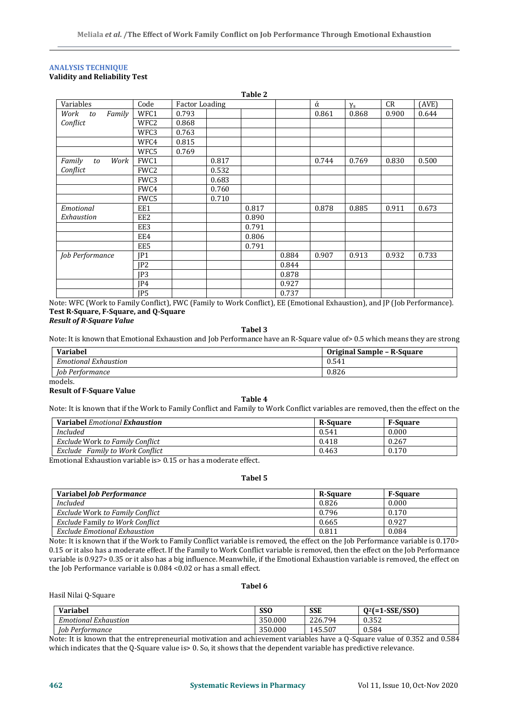### **ANALYSIS TECHNIQUE Validity and Reliability Test**

|                      |                 |                       |       | Table 2 |       |       |            |       |       |
|----------------------|-----------------|-----------------------|-------|---------|-------|-------|------------|-------|-------|
| Variables            | Code            | <b>Factor Loading</b> |       |         |       | ά     | $\gamma_s$ | CR    | (AVE) |
| Work<br>Family<br>to | WFC1            | 0.793                 |       |         |       | 0.861 | 0.868      | 0.900 | 0.644 |
| Conflict             | WFC2            | 0.868                 |       |         |       |       |            |       |       |
|                      | WFC3            | 0.763                 |       |         |       |       |            |       |       |
|                      | WFC4            | 0.815                 |       |         |       |       |            |       |       |
|                      | WFC5            | 0.769                 |       |         |       |       |            |       |       |
| Family<br>Work<br>to | FWC1            |                       | 0.817 |         |       | 0.744 | 0.769      | 0.830 | 0.500 |
| Conflict             | FWC2            |                       | 0.532 |         |       |       |            |       |       |
|                      | FWC3            |                       | 0.683 |         |       |       |            |       |       |
|                      | FWC4            |                       | 0.760 |         |       |       |            |       |       |
|                      | FWC5            |                       | 0.710 |         |       |       |            |       |       |
| Emotional            | EE1             |                       |       | 0.817   |       | 0.878 | 0.885      | 0.911 | 0.673 |
| Exhaustion           | EE <sub>2</sub> |                       |       | 0.890   |       |       |            |       |       |
|                      | EE3             |                       |       | 0.791   |       |       |            |       |       |
|                      | EE4             |                       |       | 0.806   |       |       |            |       |       |
|                      | EE5             |                       |       | 0.791   |       |       |            |       |       |
| Job Performance      | JP1             |                       |       |         | 0.884 | 0.907 | 0.913      | 0.932 | 0.733 |
|                      | JP <sub>2</sub> |                       |       |         | 0.844 |       |            |       |       |
|                      | IP3             |                       |       |         | 0.878 |       |            |       |       |
|                      | JP4             |                       |       |         | 0.927 |       |            |       |       |
|                      | JP5             |                       |       |         | 0.737 |       |            |       |       |

Note: WFC (Work to Family Conflict), FWC (Family to Work Conflict), EE (Emotional Exhaustion), and JP (Job Performance). **Test R-Square, F-Square, and Q-Square**

# *Result of R-Square Value*

**Tabel 3**

Note: It is known that Emotional Exhaustion and Job Performance have an R-Square value of> 0.5 which means they are strong

| Variabel                     | Original Sample - R-Square |
|------------------------------|----------------------------|
| <b>Emotional Exhaustion</b>  | 0.541                      |
| $\int$ ob $P$<br>Pertormance | 0.826                      |

models.

#### **Result of F-Square Value**

**Table 4**

Note: It is known that if the Work to Family Conflict and Family to Work Conflict variables are removed, then the effect on the

| <b>Variabel</b> <i>Emotional</i> <b>Exhaustion</b> | <b>R-Square</b> | <b>F-Square</b> |
|----------------------------------------------------|-----------------|-----------------|
| <b>Included</b>                                    | 0.541           | 0.000           |
| Exclude Work to Family Conflict                    | 0.418           | 0.267           |
| Exclude<br>Family to Work Conflict                 | 0.463           | 0.170           |

Emotional Exhaustion variable is> 0.15 or has a moderate effect.

#### **Tabel 5**

| <b>Variabel Job Performance</b>        | <b>R-Square</b> | <b>F-Square</b> |
|----------------------------------------|-----------------|-----------------|
| <b>Included</b>                        | 0.826           | 0.000           |
| Exclude Work to Family Conflict        | 0.796           | 0.170           |
| <b>Exclude Family to Work Conflict</b> | 0.665           | 0.927           |
| Exclude Emotional Exhaustion           | 0.811           | 0.084           |

Note: It is known that if the Work to Family Conflict variable is removed, the effect on the Job Performance variable is 0.170> 0.15 or it also has a moderate effect. If the Family to Work Conflict variable is removed, then the effect on the Job Performance variable is 0.927> 0.35 or it also has a big influence. Meanwhile, if the Emotional Exhaustion variable is removed, the effect on the Job Performance variable is 0.084 <0.02 or has a small effect.

#### **Tabel 6**

| Variabel                                          | <b>SSO</b> | <b>SSE</b> | <b>-SSE/SSO)</b><br>$2\mathsf{f} = 1$ |
|---------------------------------------------------|------------|------------|---------------------------------------|
| $\sqrt{ }$<br>$\sim$<br>Emotional<br>! Exhaustion | 350.000    | 226.794    | 0.252<br>U.352                        |
| Iob<br>$\overline{\phantom{a}}$<br>Pertormance    | 350.000    | 145.507    | 0.584                                 |

Note: It is known that the entrepreneurial motivation and achievement variables have a Q-Square value of 0.352 and 0.584 which indicates that the Q-Square value is> 0. So, it shows that the dependent variable has predictive relevance.

Hasil Nilai Q-Square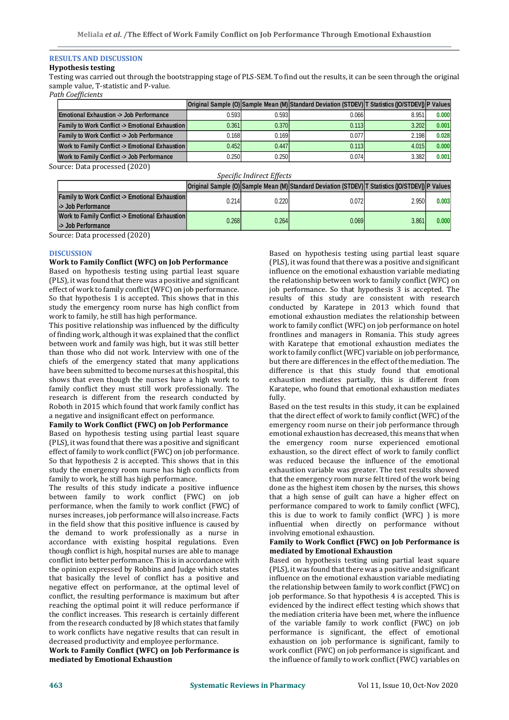# **RESULTS AND DISCUSSION**

# **Hypothesis testing**

Testing was carried out through the bootstrapping stage of PLS-SEM. To find out the results, it can be seen through the original sample value, T-statistic and P-value.

*Path Coefficients*

|                                                      |       |       | Original Sample (O) Sample Mean (M) Standard Deviation (STDEV) T Statistics (IO/STDEV) P Values |       |       |
|------------------------------------------------------|-------|-------|-------------------------------------------------------------------------------------------------|-------|-------|
| <b>Emotional Exhaustion -&gt; Job Performance</b>    | 0.593 | 0.593 | 0.066                                                                                           | 8.951 | 0.000 |
| Family to Work Conflict -> Emotional Exhaustion      | 0.361 | 0.370 | 0.113                                                                                           | 3.202 | 0.001 |
| <b>Family to Work Conflict -&gt; Job Performance</b> | 0.168 | 0.169 | 0.077                                                                                           | 2.198 | 0.028 |
| Work to Family Conflict -> Emotional Exhaustion      | 0.452 | 0.447 | 0.113                                                                                           | 4.015 | 0.000 |
| Work to Family Conflict -> Job Performance           | 0.250 | 0.250 | 0.074                                                                                           | 3.382 | 0.001 |

Source: Data processed (2020)

| Specific Indirect Effects                                                      |       |       |                                                                                                 |       |       |  |  |  |
|--------------------------------------------------------------------------------|-------|-------|-------------------------------------------------------------------------------------------------|-------|-------|--|--|--|
|                                                                                |       |       | Original Sample (O) Sample Mean (M) Standard Deviation (STDEV) T Statistics (IO/STDEV) P Values |       |       |  |  |  |
| <b>Family to Work Conflict &gt; Emotional Exhaustion</b><br>-> Job Performance | 0.214 | 0.220 | 0.072                                                                                           | 2.950 | 0.003 |  |  |  |
| Work to Family Conflict -> Emotional Exhaustion<br>-> Job Performance          | 0.268 | 0.264 | 0.069                                                                                           | 3.861 | 0.000 |  |  |  |

Source: Data processed (2020)

#### **DISCUSSION**

#### **Work to Family Conflict (WFC) on Job Performance**

Based on hypothesis testing using partial least square (PLS), it was found that there was a positive and significant effect of work to family conflict (WFC) on job performance. So that hypothesis 1 is accepted. This shows that in this study the emergency room nurse has high conflict from work to family, he still has high performance.

This positive relationship was influenced by the difficulty of finding work, although it was explained that the conflict between work and family was high, but it was still better than those who did not work. Interview with one of the chiefs of the emergency stated that many applications have been submitted to become nurses at this hospital, this shows that even though the nurses have a high work to family conflict they must still work professionally. The research is different from the research conducted by Roboth in 2015 which found that work family conflict has a negative and insignificant effect on performance.

# **Family to Work Conflict (FWC) on Job Performance**

Based on hypothesis testing using partial least square (PLS), it was found that there was a positive and significant effect of family to work conflict (FWC) on job performance. So that hypothesis 2 is accepted. This shows that in this study the emergency room nurse has high conflicts from family to work, he still has high performance.

The results of this study indicate a positive influence between family to work conflict (FWC) on job performance, when the family to work conflict (FWC) of nurses increases, job performance will also increase. Facts in the field show that this positive influence is caused by the demand to work professionally as a nurse in accordance with existing hospital regulations. Even though conflict is high, hospital nurses are able to manage conflict into better performance. This is in accordance with the opinion expressed by Robbins and Judge which states that basically the level of conflict has a positive and negative effect on performance, at the optimal level of conflict, the resulting performance is maximum but after reaching the optimal point it will reduce performance if the conflict increases. This research is certainly different from the research conducted by J8 which states that family to work conflicts have negative results that can result in decreased productivity and employee performance.

**Work to Family Conflict (WFC) on Job Performance is mediated by Emotional Exhaustion**

Based on hypothesis testing using partial least square (PLS), it was found that there was a positive and significant influence on the emotional exhaustion variable mediating the relationship between work to family conflict (WFC) on job performance. So that hypothesis 3 is accepted. The results of this study are consistent with research conducted by Karatepe in 2013 which found that emotional exhaustion mediates the relationship between work to family conflict (WFC) on job performance on hotel frontlines and managers in Romania. This study agrees with Karatepe that emotional exhaustion mediates the work to family conflict (WFC) variable on job performance, but there are differences in the effect of the mediation. The difference is that this study found that emotional exhaustion mediates partially, this is different from Karatepe, who found that emotional exhaustion mediates fully. **Original Sample (O) Conflict (FWC) Sample (O) CONFLICTED CONFLICTED CONFLICTED CONFLICTED CONFLICTED CONFLICTED CONFLICTED CONFLICTED CONFLICTED CONFLICTED CONFLICTED CONFLICTED CONFLICTED**

Based on the test results in this study, it can be explained that the direct effect of work to family conflict (WFC) of the emergency room nurse on their job performance through emotional exhaustion has decreased, this means that when the emergency room nurse experienced emotional exhaustion, so the direct effect of work to family conflict was reduced because the influence of the emotional exhaustion variable was greater. The test results showed that the emergency room nurse felt tired of the work being done as the highest item chosen by the nurses, this shows that a high sense of guilt can have a higher effect on performance compared to work to family conflict (WFC), this is due to work to family conflict (WFC) ) is more influential when directly on performance without involving emotional exhaustion.

#### **Family to Work Conflict (FWC) on Job Performance is mediated by Emotional Exhaustion**

Based on hypothesis testing using partial least square (PLS), it was found that there was a positive and significant influence on the emotional exhaustion variable mediating the relationship between family to work conflict (FWC) on job performance. So that hypothesis 4 is accepted. This is evidenced by the indirect effect testing which shows that the mediation criteria have been met, where the influence of the variable family to work conflict (FWC) on job performance is significant, the effect of emotional exhaustion on job performance is significant, family to work conflict (FWC) on job performance is significant. and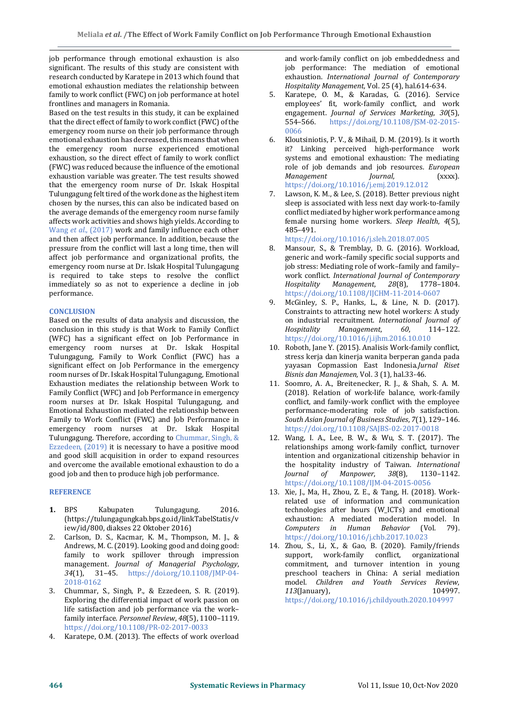job performance through emotional exhaustion is also significant. The results of this study are consistent with research conducted by Karatepe in 2013 which found that emotional exhaustion mediates the relationship between family to work conflict (FWC) on job performance at hotel frontlines and managers in Romania.

Based on the test results in this study, it can be explained that the direct effect of family to work conflict (FWC) of the emergency room nurse on their job performance through emotional exhaustion has decreased, this means that when the emergency room nurse experienced emotional exhaustion, so the direct effect of family to work conflict (FWC) was reduced because the influence of the emotional exhaustion variable was greater. The test results showed that the emergency room nurse of Dr. Iskak Hospital Tulungagung felt tired of the work done as the highest item chosen by the nurses, this can also be indicated based on the average demands of the emergency room nurse family affects work activities and shows high yields. According to Wang *et al*., (2017) work and family influence each other and then affect job performance. In addition, because the pressure from the conflict will last a long time, then will affect job performance and organizational profits, the emergency room nurse at Dr. Iskak Hospital Tulungagung is required to take steps to resolve the conflict immediately so as not to experience a decline in job performance.

# **CONCLUSION**

Based on the results of data analysis and discussion, the conclusion in this study is that Work to Family Conflict (WFC) has a significant effect on Job Performance in emergency room nurses at Dr. Iskak Hospital Tulungagung, Family to Work Conflict (FWC) has a significant effect on Job Performance in the emergency room nurses of Dr. Iskak Hospital Tulungagung, Emotional Exhaustion mediates the relationship between Work to Family Conflict (WFC) and Job Performance in emergency room nurses at Dr. Iskak Hospital Tulungagung, and Emotional Exhaustion mediated the relationship between Family to Work Conflict (FWC) and Job Performance in emergency room nurses at Dr. Iskak Hospital Tulungagung. Therefore, according to Chummar, Singh, & Ezzedeen, (2019) it is necessary to have a positive mood and good skill acquisition in order to expand resources and overcome the available emotional exhaustion to do a good job and then to produce high job performance.

# **REFERENCE**

- **1.** BPS Kabupaten Tulungagung. 2016. (https://tulungagungkab.bps.go.id/linkTabelStatis/v iew/id/800, diakses 22 Oktober 2016)
- 2. Carlson, D. S., Kacmar, K. M., Thompson, M. J., & Andrews, M. C. (2019). Looking good and doing good: family to work spillover through impression management. *Journal of Managerial Psychology*, *34*(1), 31–45. https://doi.org/10.1108/JMP-04- 2018-0162
- 3. Chummar, S., Singh, P., & Ezzedeen, S. R. (2019). Exploring the differential impact of work passion on life satisfaction and job performance via the work– family interface. *Personnel Review*, *48*(5), 1100–1119. https://doi.org/10.1108/PR-02-2017-0033
- 4. Karatepe, O.M. (2013). The effects of work overload

and work-family conflict on job embeddedness and job performance: The mediation of emotional exhaustion. *International Journal of Contemporary Hospitality Management*, Vol. 25 (4), hal.614-634.

- 5. Karatepe, O. M., & Karadas, G. (2016). Service employees' fit, work-family conflict, and work engagement. *Journal of Services Marketing*, *30*(5), 554–566. https://doi.org/10.1108/JSM-02-2015- 0066
- 6. Kloutsiniotis, P. V., & Mihail, D. M. (2019). Is it worth it? Linking perceived high-performance work systems and emotional exhaustion: The mediating role of job demands and job resources. *European Management Journal*, (xxxx). https://doi.org/10.1016/j.emj.2019.12.012
- Lawson, K. M., & Lee, S. (2018). Better previous night sleep is associated with less next day work-to-family conflict mediated by higher work performance among female nursing home workers. *Sleep Health*, *4*(5), 485–491.
- https://doi.org/10.1016/j.sleh.2018.07.005 8. Mansour, S., & Tremblay, D. G. (2016). Workload, generic and work–family specific social supports and job stress: Mediating role of work–family and family– work conflict. *International Journal of Contemporary Hospitality Management*, *28*(8), 1778–1804. https://doi.org/10.1108/IJCHM-11-2014-0607
- 9. McGinley, S. P., Hanks, L., & Line, N. D. (2017). Constraints to attracting new hotel workers: A study on industrial recruitment. *International Journal of Hospitality Management*, *60*, 114–122. https://doi.org/10.1016/j.ijhm.2016.10.010
- 10. Roboth, Jane Y. (2015). Analisis Work-family conflict, stress kerja dan kinerja wanita berperan ganda pada yayasan Copmassion East Indonesia.*Jurnal Riset Bisnis dan Manajemen,* Vol. 3 (1), hal.33-46.
- 11. Soomro, A. A., Breitenecker, R. J., & Shah, S. A. M. (2018). Relation of work-life balance, work-family conflict, and family-work conflict with the employee performance-moderating role of job satisfaction. *South Asian Journal of Business Studies*, *7*(1), 129–146. https://doi.org/10.1108/SAJBS-02-2017-0018
- 12. Wang, I. A., Lee, B. W., & Wu, S. T. (2017). The relationships among work-family conflict, turnover intention and organizational citizenship behavior in the hospitality industry of Taiwan. *International Journal of Manpower*, *38*(8), 1130–1142. https://doi.org/10.1108/IJM-04-2015-0056
- 13. Xie, J., Ma, H., Zhou, Z. E., & Tang, H. (2018). Workrelated use of information and communication technologies after hours (W\_ICTs) and emotional exhaustion: A mediated moderation model. In *Computers in Human Behavior* (Vol. 79). https://doi.org/10.1016/j.chb.2017.10.023
- 14. Zhou, S., Li, X., & Gao, B. (2020). Family/friends support, work-family conflict, organizational commitment, and turnover intention in young preschool teachers in China: A serial mediation model. *Children and Youth Services Review*, *113*(January), 104997. https://doi.org/10.1016/j.childyouth.2020.104997